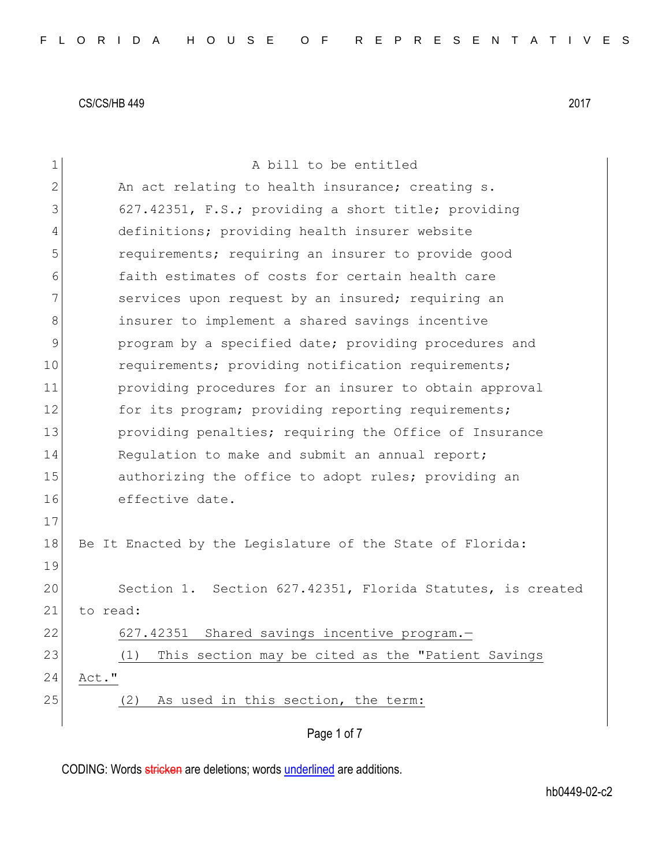| 1  | A bill to be entitled                                      |
|----|------------------------------------------------------------|
| 2  | An act relating to health insurance; creating s.           |
| 3  | 627.42351, F.S.; providing a short title; providing        |
| 4  | definitions; providing health insurer website              |
| 5  | requirements; requiring an insurer to provide good         |
| 6  | faith estimates of costs for certain health care           |
| 7  | services upon request by an insured; requiring an          |
| 8  | insurer to implement a shared savings incentive            |
| 9  | program by a specified date; providing procedures and      |
| 10 | requirements; providing notification requirements;         |
| 11 | providing procedures for an insurer to obtain approval     |
| 12 | for its program; providing reporting requirements;         |
| 13 | providing penalties; requiring the Office of Insurance     |
| 14 | Requlation to make and submit an annual report;            |
| 15 | authorizing the office to adopt rules; providing an        |
| 16 | effective date.                                            |
| 17 |                                                            |
| 18 | Be It Enacted by the Legislature of the State of Florida:  |
| 19 |                                                            |
| 20 | Section 1. Section 627.42351, Florida Statutes, is created |
| 21 | to read:                                                   |
| 22 | 627.42351 Shared savings incentive program.-               |
| 23 | This section may be cited as the "Patient Savings<br>(1)   |
| 24 | Act."                                                      |
| 25 | As used in this section, the term:<br>(2)                  |
|    |                                                            |
|    | Page 1 of 7                                                |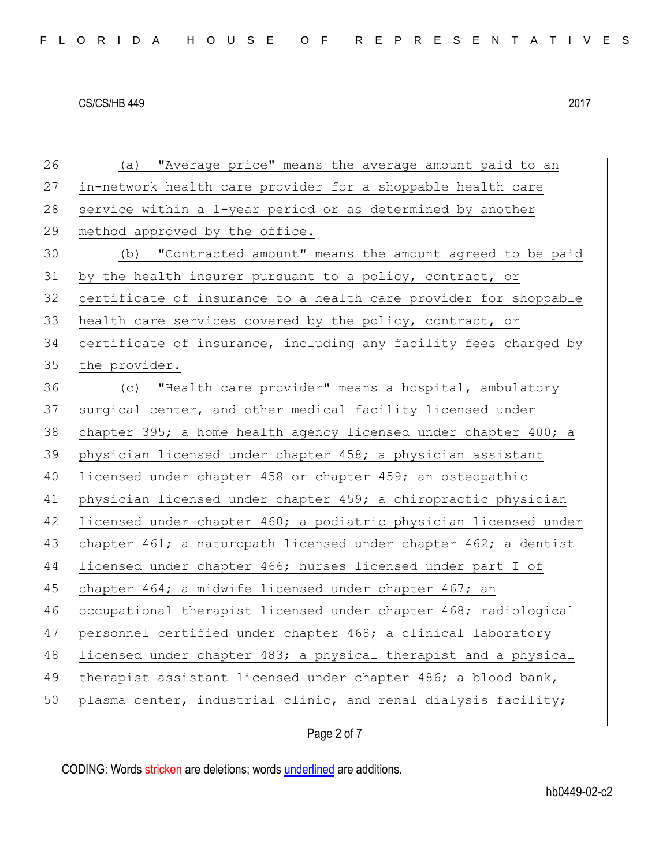| 26     | (a) "Average price" means the average amount paid to an          |
|--------|------------------------------------------------------------------|
| 27     | in-network health care provider for a shoppable health care      |
| 28     | service within a 1-year period or as determined by another       |
| 29     | method approved by the office.                                   |
| 30     | (b) "Contracted amount" means the amount agreed to be paid       |
| 31     | by the health insurer pursuant to a policy, contract, or         |
| 32     | certificate of insurance to a health care provider for shoppable |
| 33     | health care services covered by the policy, contract, or         |
| 34     | certificate of insurance, including any facility fees charged by |
| 35     | the provider.                                                    |
| 36     | (c) "Health care provider" means a hospital, ambulatory          |
| 37     | surgical center, and other medical facility licensed under       |
| 38     | chapter 395; a home health agency licensed under chapter 400; a  |
| 39     | physician licensed under chapter 458; a physician assistant      |
| 40     | licensed under chapter 458 or chapter 459; an osteopathic        |
| 41     | physician licensed under chapter 459; a chiropractic physician   |
| 42     | licensed under chapter 460; a podiatric physician licensed under |
| 43     | chapter 461; a naturopath licensed under chapter 462; a dentist  |
| 44     | licensed under chapter 466; nurses licensed under part I of      |
| 45     | chapter 464; a midwife licensed under chapter 467; an            |
| 46     | occupational therapist licensed under chapter 468; radiological  |
| 47     | personnel certified under chapter 468; a clinical laboratory     |
| $4\,8$ | licensed under chapter 483; a physical therapist and a physical  |
| 49     | therapist assistant licensed under chapter 486; a blood bank,    |
| 50     | plasma center, industrial clinic, and renal dialysis facility;   |
|        |                                                                  |

# Page 2 of 7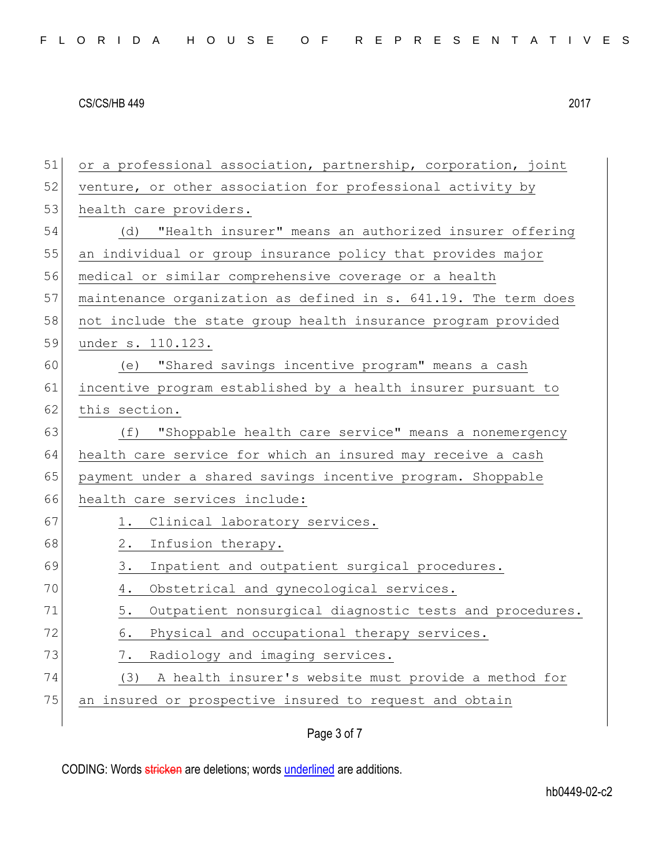| 51 | or a professional association, partnership, corporation, joint  |  |  |  |  |  |  |  |  |  |  |
|----|-----------------------------------------------------------------|--|--|--|--|--|--|--|--|--|--|
| 52 | venture, or other association for professional activity by      |  |  |  |  |  |  |  |  |  |  |
| 53 | health care providers.                                          |  |  |  |  |  |  |  |  |  |  |
| 54 | "Health insurer" means an authorized insurer offering<br>(d)    |  |  |  |  |  |  |  |  |  |  |
| 55 | an individual or group insurance policy that provides major     |  |  |  |  |  |  |  |  |  |  |
| 56 | medical or similar comprehensive coverage or a health           |  |  |  |  |  |  |  |  |  |  |
| 57 | maintenance organization as defined in s. 641.19. The term does |  |  |  |  |  |  |  |  |  |  |
| 58 | not include the state group health insurance program provided   |  |  |  |  |  |  |  |  |  |  |
| 59 | under s. 110.123.                                               |  |  |  |  |  |  |  |  |  |  |
| 60 | (e) "Shared savings incentive program" means a cash             |  |  |  |  |  |  |  |  |  |  |
| 61 | incentive program established by a health insurer pursuant to   |  |  |  |  |  |  |  |  |  |  |
| 62 | this section.                                                   |  |  |  |  |  |  |  |  |  |  |
| 63 | "Shoppable health care service" means a nonemergency<br>(f)     |  |  |  |  |  |  |  |  |  |  |
| 64 | health care service for which an insured may receive a cash     |  |  |  |  |  |  |  |  |  |  |
| 65 | payment under a shared savings incentive program. Shoppable     |  |  |  |  |  |  |  |  |  |  |
| 66 | health care services include:                                   |  |  |  |  |  |  |  |  |  |  |
| 67 | Clinical laboratory services.<br>1.                             |  |  |  |  |  |  |  |  |  |  |
| 68 | Infusion therapy.<br>2.                                         |  |  |  |  |  |  |  |  |  |  |
| 69 | Inpatient and outpatient surgical procedures.<br>3.             |  |  |  |  |  |  |  |  |  |  |
| 70 | Obstetrical and gynecological services.<br>4.                   |  |  |  |  |  |  |  |  |  |  |
| 71 | Outpatient nonsurgical diagnostic tests and procedures.<br>5.   |  |  |  |  |  |  |  |  |  |  |
| 72 | Physical and occupational therapy services.<br>6.               |  |  |  |  |  |  |  |  |  |  |
| 73 | Radiology and imaging services.<br>$\frac{1}{2}$ .              |  |  |  |  |  |  |  |  |  |  |
| 74 | A health insurer's website must provide a method for<br>(3)     |  |  |  |  |  |  |  |  |  |  |
| 75 | an insured or prospective insured to request and obtain         |  |  |  |  |  |  |  |  |  |  |
|    |                                                                 |  |  |  |  |  |  |  |  |  |  |

Page 3 of 7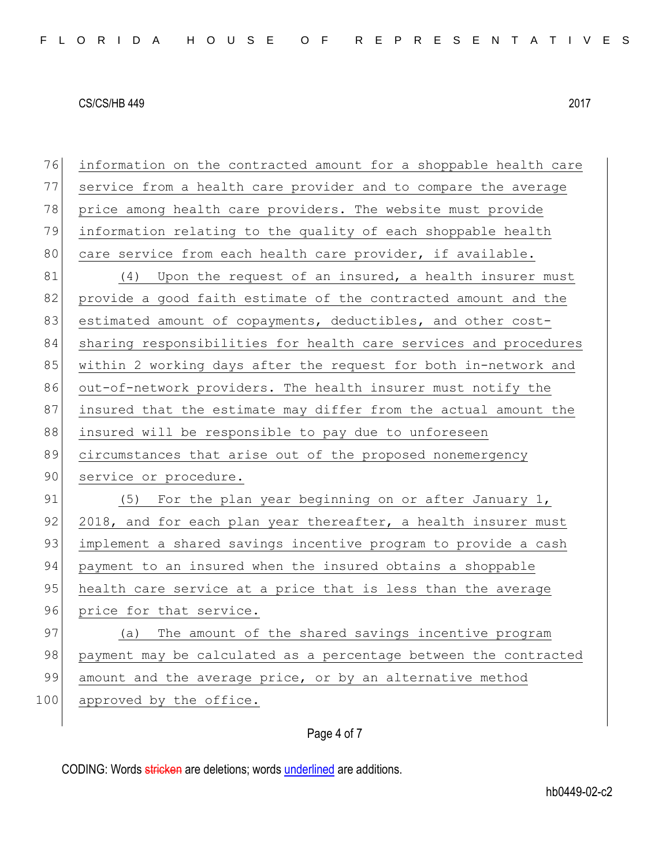76 information on the contracted amount for a shoppable health care 77 service from a health care provider and to compare the average 78 price among health care providers. The website must provide 79 information relating to the quality of each shoppable health 80 care service from each health care provider, if available. 81 (4) Upon the request of an insured, a health insurer must 82 provide a good faith estimate of the contracted amount and the 83 estimated amount of copayments, deductibles, and other cost-84 sharing responsibilities for health care services and procedures 85 within 2 working days after the request for both in-network and 86 out-of-network providers. The health insurer must notify the 87 insured that the estimate may differ from the actual amount the 88 insured will be responsible to pay due to unforeseen 89 circumstances that arise out of the proposed nonemergency 90 service or procedure. 91  $(5)$  For the plan year beginning on or after January 1, 92 2018, and for each plan year thereafter, a health insurer must 93 implement a shared savings incentive program to provide a cash 94 payment to an insured when the insured obtains a shoppable 95 health care service at a price that is less than the average 96 price for that service. 97 (a) The amount of the shared savings incentive program 98 payment may be calculated as a percentage between the contracted 99 amount and the average price, or by an alternative method

100 approved by the office.

### Page 4 of 7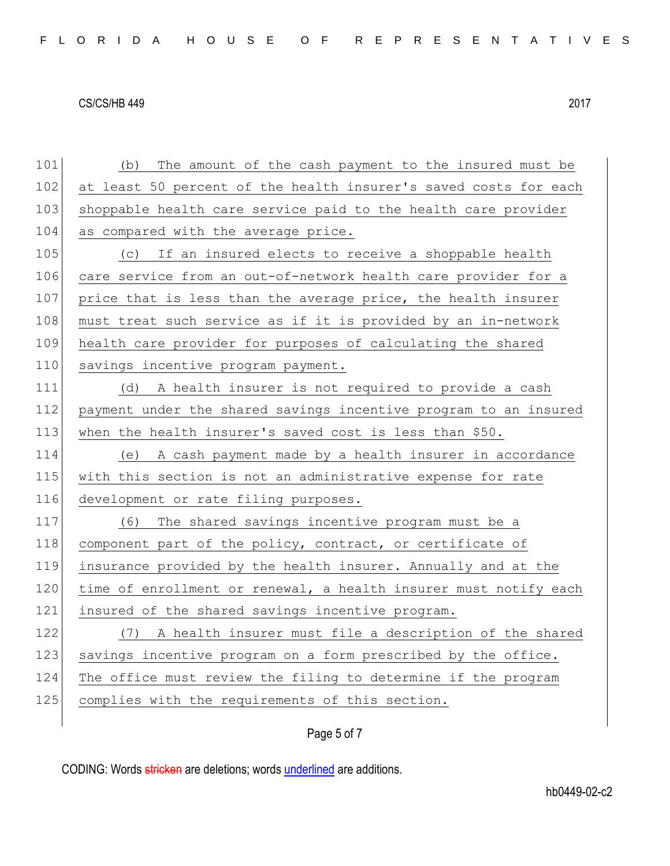101 (b) The amount of the cash payment to the insured must be 102 at least 50 percent of the health insurer's saved costs for each 103 shoppable health care service paid to the health care provider 104 as compared with the average price. 105  $\vert$  (c) If an insured elects to receive a shoppable health 106 care service from an out-of-network health care provider for a 107 price that is less than the average price, the health insurer 108 must treat such service as if it is provided by an in-network 109 health care provider for purposes of calculating the shared 110 savings incentive program payment. 111 (d) A health insurer is not required to provide a cash 112 payment under the shared savings incentive program to an insured 113 when the health insurer's saved cost is less than \$50. 114 (e) A cash payment made by a health insurer in accordance 115 with this section is not an administrative expense for rate 116 development or rate filing purposes. 117 (6) The shared savings incentive program must be a 118 component part of the policy, contract, or certificate of 119 insurance provided by the health insurer. Annually and at the  $120$  time of enrollment or renewal, a health insurer must notify each 121 insured of the shared savings incentive program. 122 (7) A health insurer must file a description of the shared 123 savings incentive program on a form prescribed by the office. 124 The office must review the filing to determine if the program 125 complies with the requirements of this section.

## Page 5 of 7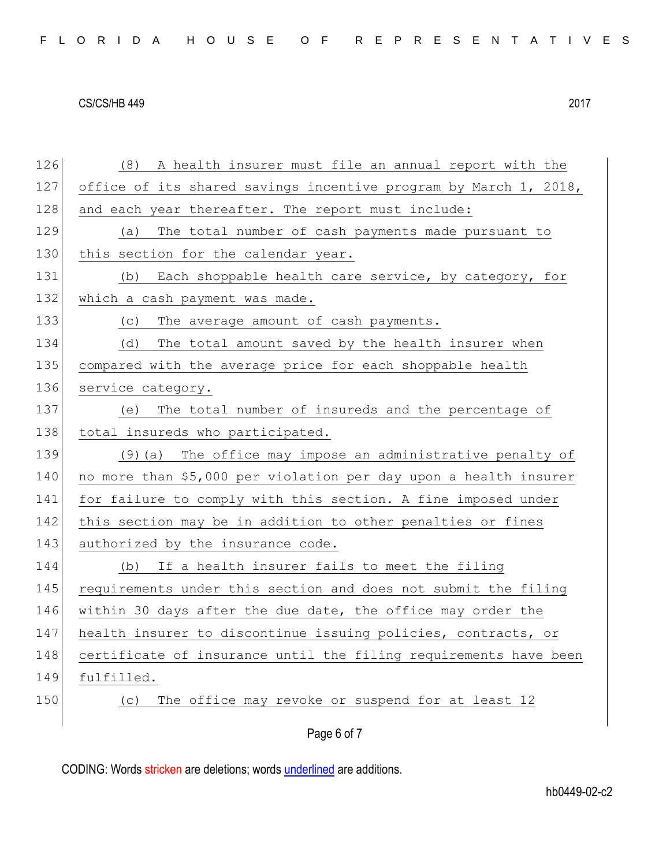|  |  |  |  |  |  |  |  |  |  | FLORIDA HOUSE OF REPRESENTATIVES |  |  |  |  |  |  |  |  |  |  |  |  |  |  |  |  |
|--|--|--|--|--|--|--|--|--|--|----------------------------------|--|--|--|--|--|--|--|--|--|--|--|--|--|--|--|--|
|--|--|--|--|--|--|--|--|--|--|----------------------------------|--|--|--|--|--|--|--|--|--|--|--|--|--|--|--|--|

126 (8) A health insurer must file an annual report with the 127 office of its shared savings incentive program by March 1, 2018, 128 and each year thereafter. The report must include: 129 (a) The total number of cash payments made pursuant to 130 this section for the calendar year. 131 (b) Each shoppable health care service, by category, for 132 which a cash payment was made. 133 (c) The average amount of cash payments. 134 (d) The total amount saved by the health insurer when 135 compared with the average price for each shoppable health 136 service category. 137 (e) The total number of insureds and the percentage of 138 total insureds who participated. 139 (9) (a) The office may impose an administrative penalty of 140 no more than \$5,000 per violation per day upon a health insurer 141 for failure to comply with this section. A fine imposed under 142 this section may be in addition to other penalties or fines 143 authorized by the insurance code. 144 (b) If a health insurer fails to meet the filing 145 requirements under this section and does not submit the filing 146 within 30 days after the due date, the office may order the 147 health insurer to discontinue issuing policies, contracts, or 148 certificate of insurance until the filing requirements have been 149 fulfilled. 150 (c) The office may revoke or suspend for at least 12

# Page 6 of 7